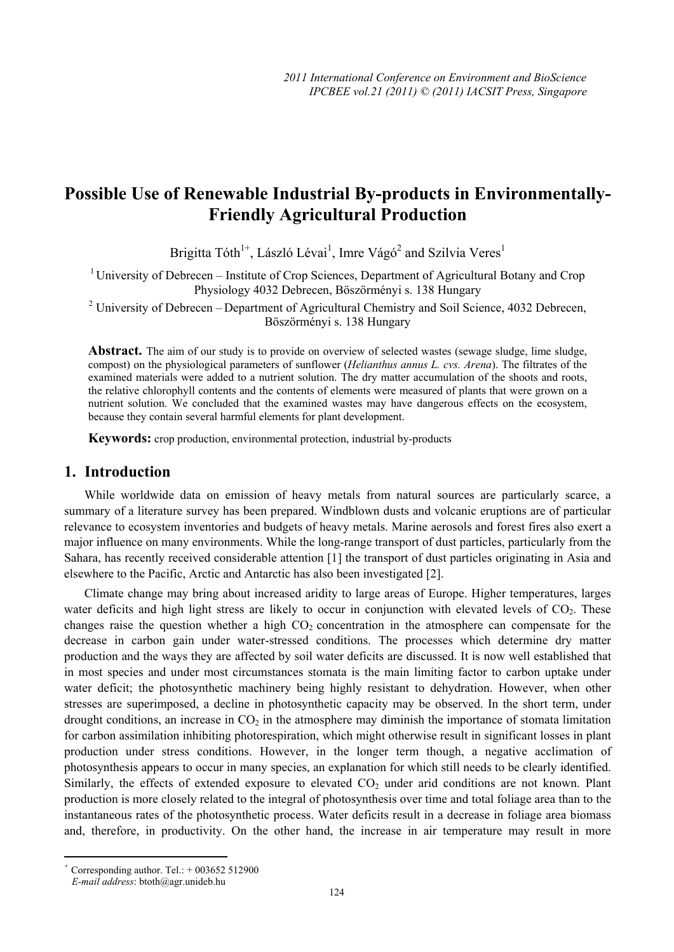# **Possible Use of Renewable Industrial By-products in Environmentally-Friendly Agricultural Production**

Brigitta Tóth<sup>1+</sup>, László Lévai<sup>1</sup>, Imre Vágó<sup>2</sup> and Szilvia Veres<sup>1</sup>

 $1$  University of Debrecen – Institute of Crop Sciences, Department of Agricultural Botany and Crop Physiology 4032 Debrecen, Böszörményi s. 138 Hungary

<sup>2</sup> University of Debrecen – Department of Agricultural Chemistry and Soil Science, 4032 Debrecen, Böszörményi s. 138 Hungary

Abstract. The aim of our study is to provide on overview of selected wastes (sewage sludge, lime sludge, compost) on the physiological parameters of sunflower (*Helianthus annus L. cvs. Arena*). The filtrates of the examined materials were added to a nutrient solution. The dry matter accumulation of the shoots and roots, the relative chlorophyll contents and the contents of elements were measured of plants that were grown on a nutrient solution. We concluded that the examined wastes may have dangerous effects on the ecosystem, because they contain several harmful elements for plant development.

**Keywords:** crop production, environmental protection, industrial by-products

#### **1. Introduction**

While worldwide data on emission of heavy metals from natural sources are particularly scarce, a summary of a literature survey has been prepared. Windblown dusts and volcanic eruptions are of particular relevance to ecosystem inventories and budgets of heavy metals. Marine aerosols and forest fires also exert a major influence on many environments. While the long-range transport of dust particles, particularly from the Sahara, has recently received considerable attention [1] the transport of dust particles originating in Asia and elsewhere to the Pacific, Arctic and Antarctic has also been investigated [2].

Climate change may bring about increased aridity to large areas of Europe. Higher temperatures, larges water deficits and high light stress are likely to occur in conjunction with elevated levels of  $CO<sub>2</sub>$ . These changes raise the question whether a high  $CO<sub>2</sub>$  concentration in the atmosphere can compensate for the decrease in carbon gain under water-stressed conditions. The processes which determine dry matter production and the ways they are affected by soil water deficits are discussed. It is now well established that in most species and under most circumstances stomata is the main limiting factor to carbon uptake under water deficit; the photosynthetic machinery being highly resistant to dehydration. However, when other stresses are superimposed, a decline in photosynthetic capacity may be observed. In the short term, under drought conditions, an increase in  $CO<sub>2</sub>$  in the atmosphere may diminish the importance of stomata limitation for carbon assimilation inhibiting photorespiration, which might otherwise result in significant losses in plant production under stress conditions. However, in the longer term though, a negative acclimation of photosynthesis appears to occur in many species, an explanation for which still needs to be clearly identified. Similarly, the effects of extended exposure to elevated  $CO<sub>2</sub>$  under arid conditions are not known. Plant production is more closely related to the integral of photosynthesis over time and total foliage area than to the instantaneous rates of the photosynthetic process. Water deficits result in a decrease in foliage area biomass and, therefore, in productivity. On the other hand, the increase in air temperature may result in more

 $\overline{a}$ 

Corresponding author. Tel.:  $+ 003652512900$ 

*E-mail address*: btoth@agr.unideb.hu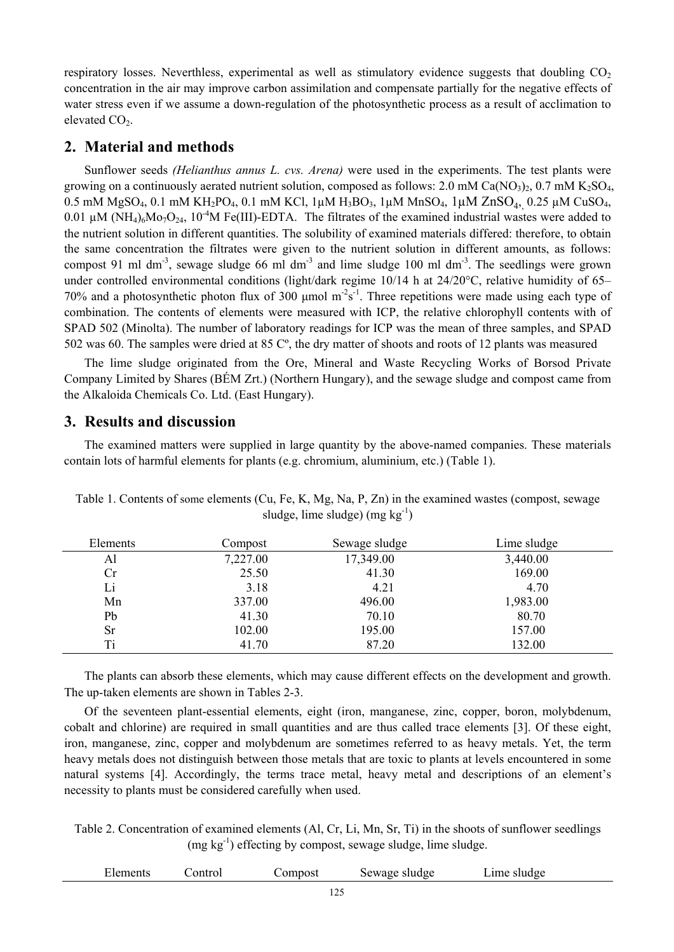respiratory losses. Neverthless, experimental as well as stimulatory evidence suggests that doubling  $CO<sub>2</sub>$ concentration in the air may improve carbon assimilation and compensate partially for the negative effects of water stress even if we assume a down-regulation of the photosynthetic process as a result of acclimation to elevated  $CO<sub>2</sub>$ .

# **2. Material and methods**

Sunflower seeds *(Helianthus annus L. cvs. Arena)* were used in the experiments. The test plants were growing on a continuously aerated nutrient solution, composed as follows: 2.0 mM Ca(NO<sub>3</sub>)<sub>2</sub>, 0.7 mM K<sub>2</sub>SO<sub>4</sub>, 0.5 mM MgSO<sub>4</sub>, 0.1 mM KH<sub>2</sub>PO<sub>4</sub>, 0.1 mM KCl, 1μM H<sub>3</sub>BO<sub>3</sub>, 1μM MnSO<sub>4</sub>, 1μM ZnSO<sub>4</sub>, 0.25 μM CuSO<sub>4</sub>, 0.01  $\mu$ M (NH<sub>4</sub>)<sub>6</sub>Mo<sub>7</sub>O<sub>24</sub>, 10<sup>-4</sup>M Fe(III)-EDTA. The filtrates of the examined industrial wastes were added to the nutrient solution in different quantities. The solubility of examined materials differed: therefore, to obtain the same concentration the filtrates were given to the nutrient solution in different amounts, as follows: compost 91 ml dm<sup>-3</sup>, sewage sludge 66 ml dm<sup>-3</sup> and lime sludge 100 ml dm<sup>-3</sup>. The seedlings were grown under controlled environmental conditions (light/dark regime 10/14 h at 24/20°C, relative humidity of 65– 70% and a photosynthetic photon flux of 300  $\mu$ mol m<sup>-2</sup>s<sup>-1</sup>. Three repetitions were made using each type of combination. The contents of elements were measured with ICP, the relative chlorophyll contents with of SPAD 502 (Minolta). The number of laboratory readings for ICP was the mean of three samples, and SPAD 502 was 60. The samples were dried at 85 Cº, the dry matter of shoots and roots of 12 plants was measured

The lime sludge originated from the Ore, Mineral and Waste Recycling Works of Borsod Private Company Limited by Shares (BÉM Zrt.) (Northern Hungary), and the sewage sludge and compost came from the Alkaloida Chemicals Co. Ltd. (East Hungary).

## **3. Results and discussion**

The examined matters were supplied in large quantity by the above-named companies. These materials contain lots of harmful elements for plants (e.g. chromium, aluminium, etc.) (Table 1).

| Elements  | Compost  | Sewage sludge | Lime sludge |
|-----------|----------|---------------|-------------|
| Al        | 7,227.00 | 17,349.00     | 3,440.00    |
| Cr        | 25.50    | 41.30         | 169.00      |
| Li        | 3.18     | 4.21          | 4.70        |
| Mn        | 337.00   | 496.00        | 1,983.00    |
| Pb        | 41.30    | 70.10         | 80.70       |
| <b>Sr</b> | 102.00   | 195.00        | 157.00      |
| Ti        | 41.70    | 87.20         | 132.00      |

Table 1. Contents of some elements (Cu, Fe, K, Mg, Na, P, Zn) in the examined wastes (compost, sewage sludge, lime sludge) (mg  $kg^{-1}$ )

The plants can absorb these elements, which may cause different effects on the development and growth. The up-taken elements are shown in Tables 2-3.

Of the seventeen plant-essential elements, eight (iron, manganese, zinc, copper, boron, molybdenum, cobalt and chlorine) are required in small quantities and are thus called trace elements [3]. Of these eight, iron, manganese, zinc, copper and molybdenum are sometimes referred to as heavy metals. Yet, the term heavy metals does not distinguish between those metals that are toxic to plants at levels encountered in some natural systems [4]. Accordingly, the terms trace metal, heavy metal and descriptions of an element's necessity to plants must be considered carefully when used.

Table 2. Concentration of examined elements (Al, Cr, Li, Mn, Sr, Ti) in the shoots of sunflower seedlings  $(mg kg<sup>-1</sup>)$  effecting by compost, sewage sludge, lime sludge.

| <b>Elements</b> | ontro | .omnost | Sewage<br>, sludge | $\mathsf{\sim}$ ime '<br>sludge |  |
|-----------------|-------|---------|--------------------|---------------------------------|--|
|                 |       |         |                    |                                 |  |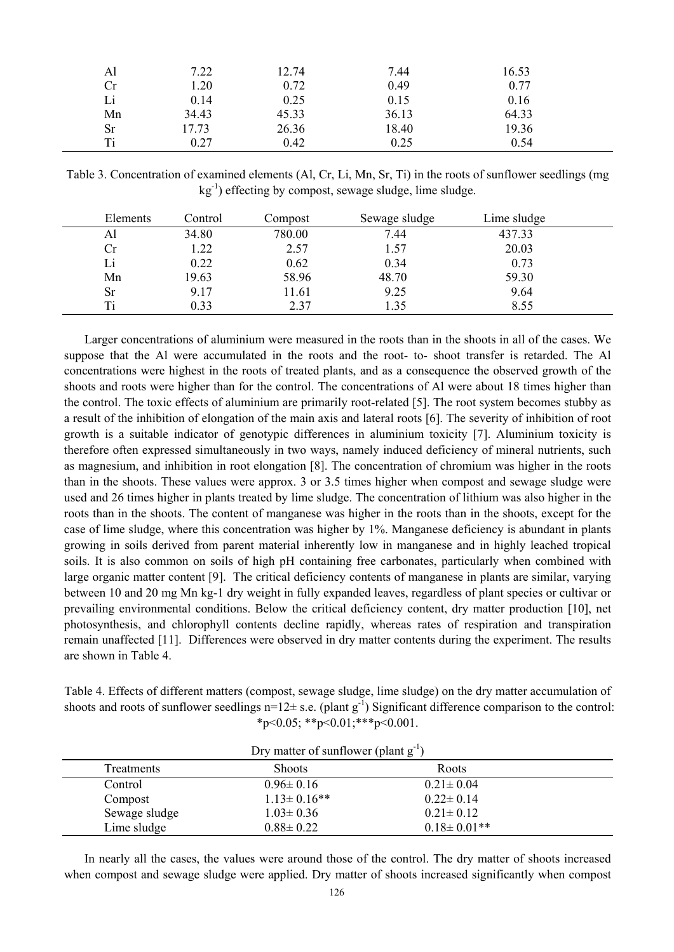| Al | 7.22  | 12.74 | 7.44  | 16.53 |  |
|----|-------|-------|-------|-------|--|
| Cr | 1.20  | 0.72  | 0.49  | 0.77  |  |
| Li | 0.14  | 0.25  | 0.15  | 0.16  |  |
| Mn | 34.43 | 45.33 | 36.13 | 64.33 |  |
| Sr | 17.73 | 26.36 | 18.40 | 19.36 |  |
| Ti | 0.27  | 0.42  | 0.25  | 0.54  |  |

Table 3. Concentration of examined elements (Al, Cr, Li, Mn, Sr, Ti) in the roots of sunflower seedlings (mg  $kg^{-1}$ ) effecting by compost, sewage sludge, lime sludge.

| Elements | Control | Compost | Sewage sludge | Lime sludge |  |
|----------|---------|---------|---------------|-------------|--|
| Al       | 34.80   | 780.00  | 7.44          | 437.33      |  |
| Cr       | 1.22    | 2.57    | 1.57          | 20.03       |  |
| Li       | 0.22    | 0.62    | 0.34          | 0.73        |  |
| Mn       | 19.63   | 58.96   | 48.70         | 59.30       |  |
| Sr       | 9.17    | l 1.61  | 9.25          | 9.64        |  |
| Ti       | 0.33    | 2.37    | .35           | 8.55        |  |

Larger concentrations of aluminium were measured in the roots than in the shoots in all of the cases. We suppose that the Al were accumulated in the roots and the root- to- shoot transfer is retarded. The Al concentrations were highest in the roots of treated plants, and as a consequence the observed growth of the shoots and roots were higher than for the control. The concentrations of Al were about 18 times higher than the control. The toxic effects of aluminium are primarily root-related [5]. The root system becomes stubby as a result of the inhibition of elongation of the main axis and lateral roots [6]. The severity of inhibition of root growth is a suitable indicator of genotypic differences in aluminium toxicity [7]. Aluminium toxicity is therefore often expressed simultaneously in two ways, namely induced deficiency of mineral nutrients, such as magnesium, and inhibition in root elongation [8]. The concentration of chromium was higher in the roots than in the shoots. These values were approx. 3 or 3.5 times higher when compost and sewage sludge were used and 26 times higher in plants treated by lime sludge. The concentration of lithium was also higher in the roots than in the shoots. The content of manganese was higher in the roots than in the shoots, except for the case of lime sludge, where this concentration was higher by 1%. Manganese deficiency is abundant in plants growing in soils derived from parent material inherently low in manganese and in highly leached tropical soils. It is also common on soils of high pH containing free carbonates, particularly when combined with large organic matter content [9]. The critical deficiency contents of manganese in plants are similar, varying between 10 and 20 mg Mn kg-1 dry weight in fully expanded leaves, regardless of plant species or cultivar or prevailing environmental conditions. Below the critical deficiency content, dry matter production [10], net photosynthesis, and chlorophyll contents decline rapidly, whereas rates of respiration and transpiration remain unaffected [11]. Differences were observed in dry matter contents during the experiment. The results are shown in Table 4.

Table 4. Effects of different matters (compost, sewage sludge, lime sludge) on the dry matter accumulation of shoots and roots of sunflower seedlings  $n=12\pm$  s.e. (plant  $g^{-1}$ ) Significant difference comparison to the control:  $*p<0.05$ ;  $*p<0.01$ ;  $**p<0.001$ .

| Dry matter of sunflower (plant g) |                    |                    |  |  |
|-----------------------------------|--------------------|--------------------|--|--|
| <b>Treatments</b>                 | <b>Shoots</b>      | Roots              |  |  |
| Control                           | $0.96 \pm 0.16$    | $0.21 \pm 0.04$    |  |  |
| Compost                           | $1.13 \pm 0.16$ ** | $0.22 \pm 0.14$    |  |  |
| Sewage sludge                     | $1.03 \pm 0.36$    | $0.21 \pm 0.12$    |  |  |
| Lime sludge                       | $0.88 \pm 0.22$    | $0.18 \pm 0.01$ ** |  |  |

 $\Omega$  at the of sunflower (plant  $\sigma^{-1}$ )

In nearly all the cases, the values were around those of the control. The dry matter of shoots increased when compost and sewage sludge were applied. Dry matter of shoots increased significantly when compost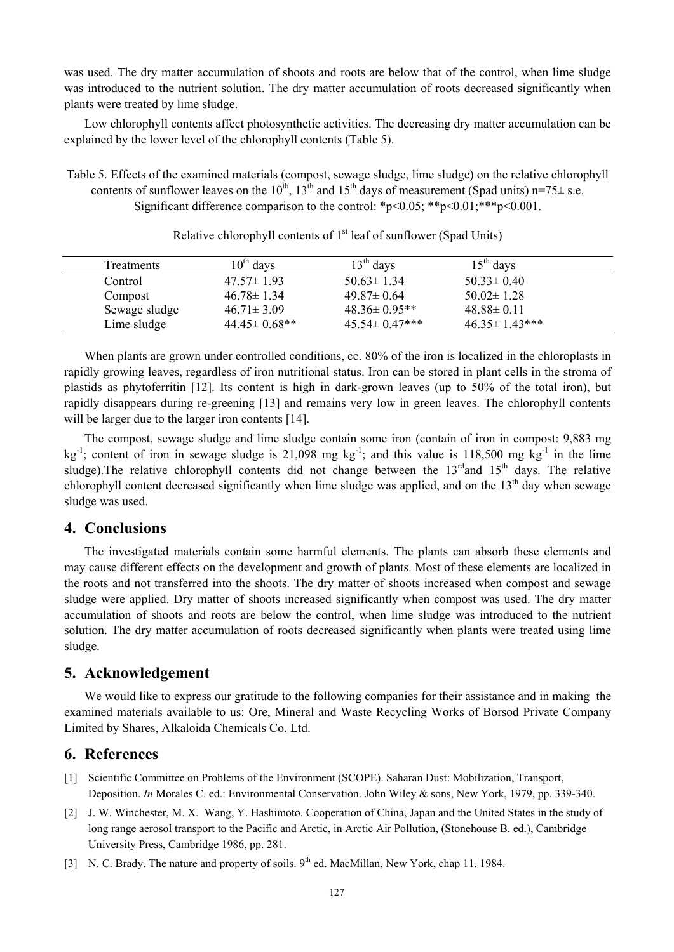was used. The dry matter accumulation of shoots and roots are below that of the control, when lime sludge was introduced to the nutrient solution. The dry matter accumulation of roots decreased significantly when plants were treated by lime sludge.

Low chlorophyll contents affect photosynthetic activities. The decreasing dry matter accumulation can be explained by the lower level of the chlorophyll contents (Table 5).

Table 5. Effects of the examined materials (compost, sewage sludge, lime sludge) on the relative chlorophyll contents of sunflower leaves on the 10<sup>th</sup>, 13<sup>th</sup> and 15<sup>th</sup> days of measurement (Spad units) n=75 $\pm$  s.e. Significant difference comparison to the control: \*p<0.05; \*\*p<0.01; \*\*\*p<0.001.

| <b>Treatments</b> | $10^{th}$ days      | $13th$ days          | $15th$ days          |  |
|-------------------|---------------------|----------------------|----------------------|--|
| Control           | $47.57 \pm 1.93$    | $50.63 \pm 1.34$     | $50.33 \pm 0.40$     |  |
| Compost           | $46.78 \pm 1.34$    | $49.87 \pm 0.64$     | $50.02 \pm 1.28$     |  |
| Sewage sludge     | $46.71 \pm 3.09$    | $48.36 \pm 0.95**$   | $48.88 \pm 0.11$     |  |
| Lime sludge       | $44.45 \pm 0.68$ ** | $45.54 \pm 0.47$ *** | $46.35 \pm 1.43$ *** |  |

Relative chlorophyll contents of  $1<sup>st</sup>$  leaf of sunflower (Spad Units)

When plants are grown under controlled conditions, cc. 80% of the iron is localized in the chloroplasts in rapidly growing leaves, regardless of iron nutritional status. Iron can be stored in plant cells in the stroma of plastids as phytoferritin [12]. Its content is high in dark-grown leaves (up to 50% of the total iron), but rapidly disappears during re-greening [13] and remains very low in green leaves. The chlorophyll contents will be larger due to the larger iron contents [14].

The compost, sewage sludge and lime sludge contain some iron (contain of iron in compost: 9,883 mg  $kg^{-1}$ ; content of iron in sewage sludge is 21,098 mg kg<sup>-1</sup>; and this value is 118,500 mg kg<sup>-1</sup> in the lime sludge). The relative chlorophyll contents did not change between the  $13<sup>rd</sup>$  and  $15<sup>th</sup>$  days. The relative chlorophyll content decreased significantly when lime sludge was applied, and on the  $13<sup>th</sup>$  day when sewage sludge was used.

#### **4. Conclusions**

The investigated materials contain some harmful elements. The plants can absorb these elements and may cause different effects on the development and growth of plants. Most of these elements are localized in the roots and not transferred into the shoots. The dry matter of shoots increased when compost and sewage sludge were applied. Dry matter of shoots increased significantly when compost was used. The dry matter accumulation of shoots and roots are below the control, when lime sludge was introduced to the nutrient solution. The dry matter accumulation of roots decreased significantly when plants were treated using lime sludge.

## **5. Acknowledgement**

We would like to express our gratitude to the following companies for their assistance and in making the examined materials available to us: Ore, Mineral and Waste Recycling Works of Borsod Private Company Limited by Shares, Alkaloida Chemicals Co. Ltd.

## **6. References**

- [1] Scientific Committee on Problems of the Environment (SCOPE). Saharan Dust: Mobilization, Transport, Deposition. *In* Morales C. ed.: Environmental Conservation. John Wiley & sons, New York, 1979, pp. 339-340.
- [2] J. W. Winchester, M. X. Wang, Y. Hashimoto. Cooperation of China, Japan and the United States in the study of long range aerosol transport to the Pacific and Arctic, in Arctic Air Pollution, (Stonehouse B. ed.), Cambridge University Press, Cambridge 1986, pp. 281.
- [3] N. C. Brady. The nature and property of soils. 9<sup>th</sup> ed. MacMillan, New York, chap 11. 1984.